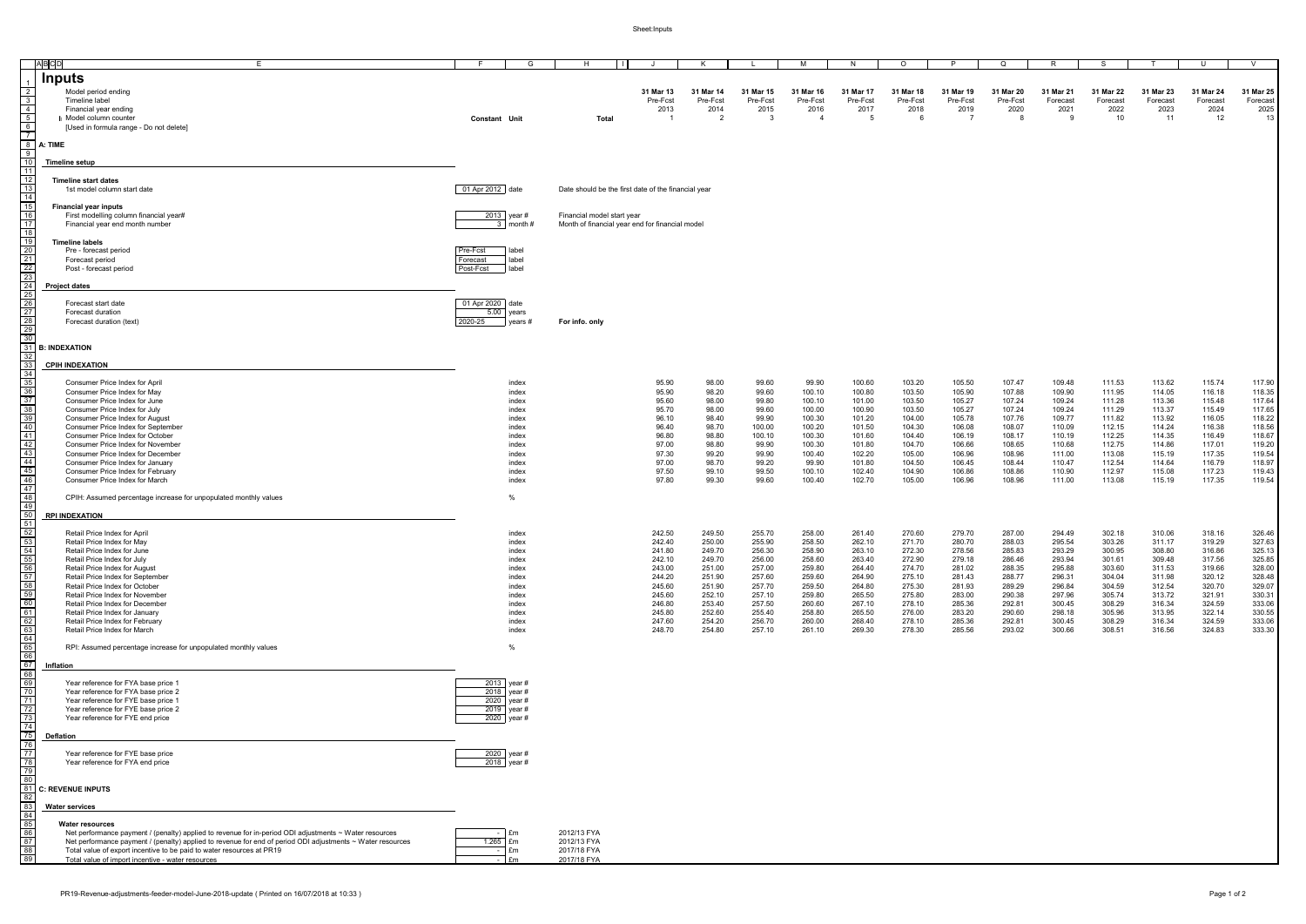Sheet:Inputs

|                                                             | ABCD<br>E                                                                                                  | G                          |             | H                          |                                                     | K                      |                  | M                | N.               | $\circ$          | P                | Q                | R.               | -S               |                  | U                | V                |
|-------------------------------------------------------------|------------------------------------------------------------------------------------------------------------|----------------------------|-------------|----------------------------|-----------------------------------------------------|------------------------|------------------|------------------|------------------|------------------|------------------|------------------|------------------|------------------|------------------|------------------|------------------|
|                                                             | <b>Inputs</b>                                                                                              |                            |             |                            |                                                     |                        |                  |                  |                  |                  |                  |                  |                  |                  |                  |                  |                  |
|                                                             |                                                                                                            |                            |             |                            |                                                     |                        |                  |                  |                  |                  |                  |                  |                  |                  |                  |                  |                  |
| $\overline{2}$                                              | Model period ending                                                                                        |                            |             |                            | 31 Mar 13                                           | 31 Mar 14              | 31 Mar 15        | 31 Mar 16        | 31 Mar 17        | 31 Mar 18        | 31 Mar 19        | 31 Mar 20        | 31 Mar 21        | 31 Mar 22        | 31 Mar 23        | 31 Mar 24        | 31 Mar 25        |
|                                                             | Timeline label                                                                                             |                            |             |                            | Pre-Fcst                                            | Pre-Fcst               | Pre-Fcst         | Pre-Fcst         | Pre-Fcst         | Pre-Fcst         | Pre-Fcst         | Pre-Fcst         | Forecast         | Forecast         | Forecast         | Forecast         | Forecast         |
| $\overline{4}$                                              | Financial year ending                                                                                      |                            |             |                            | 2013<br>$\overline{1}$                              | 2014<br>$\overline{2}$ | 2015<br>- 3      | 2016<br>-4       | 2017<br>5        | 2018             | 2019<br>- 7      | 2020             | 2021<br>-9       | 2022<br>10       | 2023<br>11       | 2024             | 2025             |
| 6                                                           | I Model column counter                                                                                     | <b>Constant Unit</b>       |             | Total                      |                                                     |                        |                  |                  |                  |                  |                  |                  |                  |                  |                  | 12               | 13               |
| $\overline{7}$                                              | [Used in formula range - Do not delete]                                                                    |                            |             |                            |                                                     |                        |                  |                  |                  |                  |                  |                  |                  |                  |                  |                  |                  |
| - 8                                                         | A: TIME                                                                                                    |                            |             |                            |                                                     |                        |                  |                  |                  |                  |                  |                  |                  |                  |                  |                  |                  |
| 9                                                           |                                                                                                            |                            |             |                            |                                                     |                        |                  |                  |                  |                  |                  |                  |                  |                  |                  |                  |                  |
|                                                             | <b>Timeline setup</b>                                                                                      |                            |             |                            |                                                     |                        |                  |                  |                  |                  |                  |                  |                  |                  |                  |                  |                  |
|                                                             |                                                                                                            |                            |             |                            |                                                     |                        |                  |                  |                  |                  |                  |                  |                  |                  |                  |                  |                  |
| -12                                                         | <b>Timeline start dates</b>                                                                                |                            |             |                            |                                                     |                        |                  |                  |                  |                  |                  |                  |                  |                  |                  |                  |                  |
| -13                                                         | 1st model column start date                                                                                | 01 Apr 2012 date           |             |                            | Date should be the first date of the financial year |                        |                  |                  |                  |                  |                  |                  |                  |                  |                  |                  |                  |
| -14                                                         |                                                                                                            |                            |             |                            |                                                     |                        |                  |                  |                  |                  |                  |                  |                  |                  |                  |                  |                  |
|                                                             | <b>Financial year inputs</b>                                                                               |                            |             |                            |                                                     |                        |                  |                  |                  |                  |                  |                  |                  |                  |                  |                  |                  |
| 16                                                          | First modelling column financial year#                                                                     | 2013 year #                |             | Financial model start year |                                                     |                        |                  |                  |                  |                  |                  |                  |                  |                  |                  |                  |                  |
| -17                                                         | Financial year end month number                                                                            | $3 \mid \text{month}$      |             |                            | Month of financial year end for financial model     |                        |                  |                  |                  |                  |                  |                  |                  |                  |                  |                  |                  |
|                                                             |                                                                                                            |                            |             |                            |                                                     |                        |                  |                  |                  |                  |                  |                  |                  |                  |                  |                  |                  |
| 19                                                          | <b>Timeline labels</b>                                                                                     |                            |             |                            |                                                     |                        |                  |                  |                  |                  |                  |                  |                  |                  |                  |                  |                  |
| -20                                                         | Pre - forecast period                                                                                      | Pre-Fcst<br>label          |             |                            |                                                     |                        |                  |                  |                  |                  |                  |                  |                  |                  |                  |                  |                  |
| 21                                                          | Forecast period                                                                                            | label<br>Forecast          |             |                            |                                                     |                        |                  |                  |                  |                  |                  |                  |                  |                  |                  |                  |                  |
| 22<br>-23                                                   | Post - forecast period                                                                                     | label<br>Post-Fcst         |             |                            |                                                     |                        |                  |                  |                  |                  |                  |                  |                  |                  |                  |                  |                  |
|                                                             |                                                                                                            |                            |             |                            |                                                     |                        |                  |                  |                  |                  |                  |                  |                  |                  |                  |                  |                  |
|                                                             | <b>Project dates</b>                                                                                       |                            |             |                            |                                                     |                        |                  |                  |                  |                  |                  |                  |                  |                  |                  |                  |                  |
| $\begin{array}{r} 25 \\ \hline 26 \\ \hline 27 \end{array}$ | Forecast start date                                                                                        | 01 Apr 2020 date           |             |                            |                                                     |                        |                  |                  |                  |                  |                  |                  |                  |                  |                  |                  |                  |
|                                                             | Forecast duration                                                                                          | 5.00 years                 |             |                            |                                                     |                        |                  |                  |                  |                  |                  |                  |                  |                  |                  |                  |                  |
| 28                                                          | Forecast duration (text)                                                                                   | 2020-25<br>years #         |             | For info. only             |                                                     |                        |                  |                  |                  |                  |                  |                  |                  |                  |                  |                  |                  |
| -29                                                         |                                                                                                            |                            |             |                            |                                                     |                        |                  |                  |                  |                  |                  |                  |                  |                  |                  |                  |                  |
|                                                             |                                                                                                            |                            |             |                            |                                                     |                        |                  |                  |                  |                  |                  |                  |                  |                  |                  |                  |                  |
| -31                                                         | <b>B: INDEXATION</b>                                                                                       |                            |             |                            |                                                     |                        |                  |                  |                  |                  |                  |                  |                  |                  |                  |                  |                  |
|                                                             |                                                                                                            |                            |             |                            |                                                     |                        |                  |                  |                  |                  |                  |                  |                  |                  |                  |                  |                  |
|                                                             | <b>CPIH INDEXATION</b>                                                                                     |                            |             |                            |                                                     |                        |                  |                  |                  |                  |                  |                  |                  |                  |                  |                  |                  |
| -34                                                         |                                                                                                            |                            |             |                            |                                                     |                        |                  |                  |                  |                  |                  |                  |                  |                  |                  |                  |                  |
| $\frac{35}{2}$                                              | Consumer Price Index for April                                                                             | index                      |             |                            | 95.90                                               | 98.00                  | 99.60            | 99.90            | 100.60           | 103.20           | 105.50           | 107.47           | 109.48           | 111.53           | 113.62           | 115.74           | 117.90           |
| 37                                                          | Consumer Price Index for May                                                                               | index                      |             |                            | 95.90                                               | 98.20                  | 99.60            | 100.10           | 100.80           | 103.50           | 105.90           | 107.88           | 109.90           | 111.95           | 114.05           | 116.18           | 118.35           |
|                                                             | Consumer Price Index for June<br>Consumer Price Index for July                                             | index<br>index             |             |                            | 95.60<br>95.70                                      | 98.00<br>98.00         | 99.80<br>99.60   | 100.10<br>100.00 | 101.00<br>100.90 | 103.50<br>103.50 | 105.27<br>105.27 | 107.24<br>107.24 | 109.24<br>109.24 | 111.28<br>111.29 | 113.36<br>113.37 | 115.48<br>115.49 | 117.64<br>117.65 |
| $\frac{38}{39}$                                             | Consumer Price Index for August                                                                            | index                      |             |                            | 96.10                                               | 98.40                  | 99.90            | 100.30           | 101.20           | 104.00           | 105.78           | 107.76           | 109.77           | 111.82           | 113.92           | 116.05           | 118.22           |
| 40                                                          | Consumer Price Index for September                                                                         | index                      |             |                            | 96.40                                               | 98.70                  | 100.00           | 100.20           | 101.50           | 104.30           | 106.08           | 108.07           | 110.09           | 112.15           | 114.24           | 116.38           | 118.56           |
|                                                             | Consumer Price Index for October                                                                           | index                      |             |                            | 96.80                                               | 98.80                  | 100.10           | 100.30           | 101.60           | 104.40           | 106.19           | 108.17           | 110.19           | 112.25           | 114.35           | 116.49           | 118.67           |
| $\begin{array}{r} 41 \\ 42 \\ 43 \end{array}$               | Consumer Price Index for November                                                                          | index                      |             |                            | 97.00                                               | 98.80                  | 99.90            | 100.30           | 101.80           | 104.70           | 106.66           | 108.65           | 110.68           | 112.75           | 114.86           | 117.01           | 119.20           |
|                                                             | Consumer Price Index for December                                                                          | index                      |             |                            | 97.30                                               | 99.20                  | 99.90            | 100.40           | 102.20           | 105.00           | 106.96           | 108.96           | 111.00           | 113.08           | 115.19           | 117.35           | 119.54           |
| $\frac{44}{45}$                                             | Consumer Price Index for January                                                                           | index                      |             |                            | 97.00                                               | 98.70                  | 99.20            | 99.90            | 101.80           | 104.50           | 106.45           | 108.44           | 110.47           | 112.54           | 114.64           | 116.79           | 118.97           |
|                                                             | Consumer Price Index for February                                                                          | index                      |             |                            | 97.50                                               | 99.10                  | 99.50            | 100.10           | 102.40           | 104.90           | 106.86           | 108.86           | 110.90           | 112.97           | 115.08           | 117.23           | 119.43           |
| $\frac{12}{46}$                                             | Consumer Price Index for March                                                                             | index                      |             |                            | 97.80                                               | 99.30                  | 99.60            | 100.40           | 102.70           | 105.00           | 106.96           | 108.96           | 111.00           | 113.08           | 115.19           | 117.35           | 119.54           |
| 47                                                          |                                                                                                            |                            |             |                            |                                                     |                        |                  |                  |                  |                  |                  |                  |                  |                  |                  |                  |                  |
| $\frac{1}{48}$                                              | CPIH: Assumed percentage increase for unpopulated monthly values                                           | %                          |             |                            |                                                     |                        |                  |                  |                  |                  |                  |                  |                  |                  |                  |                  |                  |
| 49                                                          |                                                                                                            |                            |             |                            |                                                     |                        |                  |                  |                  |                  |                  |                  |                  |                  |                  |                  |                  |
| -50                                                         | <b>RPI INDEXATION</b>                                                                                      |                            |             |                            |                                                     |                        |                  |                  |                  |                  |                  |                  |                  |                  |                  |                  |                  |
| -51<br>52                                                   |                                                                                                            |                            |             |                            |                                                     |                        |                  |                  |                  |                  |                  |                  |                  |                  |                  |                  |                  |
| 53                                                          | Retail Price Index for April                                                                               | index                      |             |                            | 242.50                                              | 249.50                 | 255.70           | 258.00           | 261.40           | 270.60           | 279.70           | 287.00           | 294.49           | 302.18           | 310.06           | 318.16           | 326.46           |
|                                                             | Retail Price Index for May<br>Retail Price Index for June                                                  | index<br>index             |             |                            | 242.40<br>241.80                                    | 250.00<br>249.70       | 255.90<br>256.30 | 258.50<br>258.90 | 262.10<br>263.10 | 271.70<br>272.30 | 280.70<br>278.56 | 288.03<br>285.83 | 295.54<br>293.29 | 303.26<br>300.95 | 311.17<br>308.80 | 319.29<br>316.86 | 327.63<br>325.13 |
| $\frac{54}{55}$                                             | Retail Price Index for July                                                                                | index                      |             |                            | 242.10                                              | 249.70                 | 256.00           | 258.60           | 263.40           | 272.90           | 279.18           | 286.46           | 293.94           | 301.61           | 309.48           | 317.56           | 325.85           |
| 56                                                          | Retail Price Index for August                                                                              | index                      |             |                            | 243.00                                              | 251.00                 | 257.00           | 259.80           | 264.40           | 274.70           | 281.02           | 288.35           | 295.88           | 303.60           | 311.53           | 319.66           | 328.00           |
|                                                             | Retail Price Index for September                                                                           | index                      |             |                            | 244.20                                              | 251.90                 | 257.60           | 259.60           | 264.90           | 275.10           | 281.43           | 288.77           | 296.31           | 304.04           | 311.98           | 320.12           | 328.48           |
| $\frac{57}{58}$                                             | Retail Price Index for October                                                                             | index                      |             |                            | 245.60                                              | 251.90                 | 257.70           | 259.50           | 264.80           | 275.30           | 281.93           | 289.29           | 296.84           | 304.59           | 312.54           | 320.70           | 329.07           |
| 59                                                          | Retail Price Index for November                                                                            | index                      |             |                            | 245.60                                              | 252.10                 | 257.10           | 259.80           | 265.50           | 275.80           | 283.00           | 290.38           | 297.96           | 305.74           | 313.72           | 321.91           | 330.31           |
| $\frac{60}{61}$                                             | Retail Price Index for December                                                                            | index                      |             |                            | 246.80                                              | 253.40                 | 257.50           | 260.60           | 267.10           | 278.10           | 285.36           | 292.81           | 300.45           | 308.29           | 316.34           | 324.59           | 333.06           |
|                                                             | Retail Price Index for January                                                                             | index                      |             |                            | 245.80                                              | 252.60                 | 255.40           | 258.80           | 265.50           | 276.00           | 283.20           | 290.60           | 298.18           | 305.96           | 313.95           | 322.14           | 330.55           |
| 62                                                          | Retail Price Index for February                                                                            | index                      |             |                            | 247.60                                              | 254.20                 | 256.70           | 260.00           | 268.40           | 278.10           | 285.36           | 292.81           | 300.45           | 308.29           | 316.34           | 324.59           | 333.06           |
| $\frac{63}{64}$                                             | Retail Price Index for March                                                                               | index                      |             |                            | 248.70                                              | 254.80                 | 257.10           | 261.10           | 269.30           | 278.30           | 285.56           | 293.02           | 300.66           | 308.51           | 316.56           | 324.83           | 333.30           |
| $\overline{65}$                                             |                                                                                                            |                            |             |                            |                                                     |                        |                  |                  |                  |                  |                  |                  |                  |                  |                  |                  |                  |
| 66                                                          | RPI: Assumed percentage increase for unpopulated monthly values                                            | %                          |             |                            |                                                     |                        |                  |                  |                  |                  |                  |                  |                  |                  |                  |                  |                  |
| -67                                                         | Inflation                                                                                                  |                            |             |                            |                                                     |                        |                  |                  |                  |                  |                  |                  |                  |                  |                  |                  |                  |
| 68                                                          |                                                                                                            |                            |             |                            |                                                     |                        |                  |                  |                  |                  |                  |                  |                  |                  |                  |                  |                  |
|                                                             | Year reference for FYA base price 1                                                                        | 2013 year #                |             |                            |                                                     |                        |                  |                  |                  |                  |                  |                  |                  |                  |                  |                  |                  |
| $\frac{69}{70}$                                             | Year reference for FYA base price 2                                                                        | 2018 year #                |             |                            |                                                     |                        |                  |                  |                  |                  |                  |                  |                  |                  |                  |                  |                  |
| 71                                                          | Year reference for FYE base price 1                                                                        | 2020 year #                |             |                            |                                                     |                        |                  |                  |                  |                  |                  |                  |                  |                  |                  |                  |                  |
| 72                                                          | Year reference for FYE base price 2                                                                        | 2019 year #                |             |                            |                                                     |                        |                  |                  |                  |                  |                  |                  |                  |                  |                  |                  |                  |
| 73                                                          | Year reference for FYE end price                                                                           | 2020 year #                |             |                            |                                                     |                        |                  |                  |                  |                  |                  |                  |                  |                  |                  |                  |                  |
|                                                             |                                                                                                            |                            |             |                            |                                                     |                        |                  |                  |                  |                  |                  |                  |                  |                  |                  |                  |                  |
| - 75                                                        | <b>Deflation</b>                                                                                           |                            |             |                            |                                                     |                        |                  |                  |                  |                  |                  |                  |                  |                  |                  |                  |                  |
| 76<br>$\overline{77}$                                       |                                                                                                            |                            |             |                            |                                                     |                        |                  |                  |                  |                  |                  |                  |                  |                  |                  |                  |                  |
| 78                                                          | Year reference for FYE base price<br>Year reference for FYA end price                                      | 2020 year #<br>2018 year # |             |                            |                                                     |                        |                  |                  |                  |                  |                  |                  |                  |                  |                  |                  |                  |
| 79                                                          |                                                                                                            |                            |             |                            |                                                     |                        |                  |                  |                  |                  |                  |                  |                  |                  |                  |                  |                  |
|                                                             |                                                                                                            |                            |             |                            |                                                     |                        |                  |                  |                  |                  |                  |                  |                  |                  |                  |                  |                  |
|                                                             | <b>C: REVENUE INPUTS</b>                                                                                   |                            |             |                            |                                                     |                        |                  |                  |                  |                  |                  |                  |                  |                  |                  |                  |                  |
| -82                                                         |                                                                                                            |                            |             |                            |                                                     |                        |                  |                  |                  |                  |                  |                  |                  |                  |                  |                  |                  |
|                                                             | <b>Water services</b>                                                                                      |                            |             |                            |                                                     |                        |                  |                  |                  |                  |                  |                  |                  |                  |                  |                  |                  |
| 84                                                          |                                                                                                            |                            |             |                            |                                                     |                        |                  |                  |                  |                  |                  |                  |                  |                  |                  |                  |                  |
| $\begin{array}{c} 85 \\ 86 \end{array}$                     | <b>Water resources</b>                                                                                     |                            |             |                            |                                                     |                        |                  |                  |                  |                  |                  |                  |                  |                  |                  |                  |                  |
|                                                             | Net performance payment / (penalty) applied to revenue for in-period ODI adjustments ~ Water resources     | - I £m                     | 2012/13 FYA |                            |                                                     |                        |                  |                  |                  |                  |                  |                  |                  |                  |                  |                  |                  |
| 87                                                          | Net performance payment / (penalty) applied to revenue for end of period ODI adjustments ~ Water resources | $1.265$ £m                 | 2012/13 FYA |                            |                                                     |                        |                  |                  |                  |                  |                  |                  |                  |                  |                  |                  |                  |
|                                                             | Total value of export incentive to be paid to water resources at PR19                                      | - Em                       | 2017/18 FYA |                            |                                                     |                        |                  |                  |                  |                  |                  |                  |                  |                  |                  |                  |                  |
|                                                             | Total value of import incentive - water resources                                                          | - I £m                     | 2017/18 FYA |                            |                                                     |                        |                  |                  |                  |                  |                  |                  |                  |                  |                  |                  |                  |
|                                                             |                                                                                                            |                            |             |                            |                                                     |                        |                  |                  |                  |                  |                  |                  |                  |                  |                  |                  |                  |